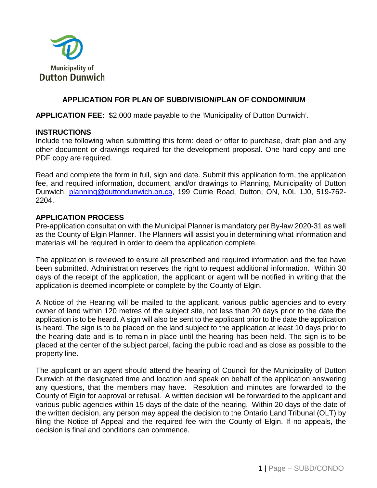

### **APPLICATION FOR PLAN OF SUBDIVISION/PLAN OF CONDOMINIUM**

**APPLICATION FEE:** \$2,000 made payable to the 'Municipality of Dutton Dunwich'.

#### **INSTRUCTIONS**

Include the following when submitting this form: deed or offer to purchase, draft plan and any other document or drawings required for the development proposal. One hard copy and one PDF copy are required.

Read and complete the form in full, sign and date. Submit this application form, the application fee, and required information, document, and/or drawings to Planning, Municipality of Dutton Dunwich, [planning@duttondunwich.on.ca,](mailto:planning@duttondunwich.on.ca) 199 Currie Road, Dutton, ON, N0L 1J0, 519-762- 2204.

### **APPLICATION PROCESS**

Pre-application consultation with the Municipal Planner is mandatory per By-law 2020-31 as well as the County of Elgin Planner. The Planners will assist you in determining what information and materials will be required in order to deem the application complete.

The application is reviewed to ensure all prescribed and required information and the fee have been submitted. Administration reserves the right to request additional information. Within 30 days of the receipt of the application, the applicant or agent will be notified in writing that the application is deemed incomplete or complete by the County of Elgin.

A Notice of the Hearing will be mailed to the applicant, various public agencies and to every owner of land within 120 metres of the subject site, not less than 20 days prior to the date the application is to be heard. A sign will also be sent to the applicant prior to the date the application is heard. The sign is to be placed on the land subject to the application at least 10 days prior to the hearing date and is to remain in place until the hearing has been held. The sign is to be placed at the center of the subject parcel, facing the public road and as close as possible to the property line.

The applicant or an agent should attend the hearing of Council for the Municipality of Dutton Dunwich at the designated time and location and speak on behalf of the application answering any questions, that the members may have. Resolution and minutes are forwarded to the County of Elgin for approval or refusal. A written decision will be forwarded to the applicant and various public agencies within 15 days of the date of the hearing. Within 20 days of the date of the written decision, any person may appeal the decision to the Ontario Land Tribunal (OLT) by filing the Notice of Appeal and the required fee with the County of Elgin. If no appeals, the decision is final and conditions can commence.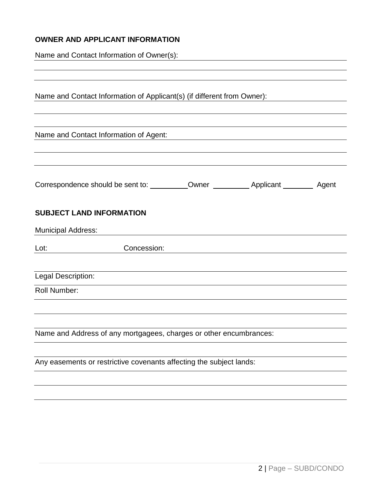### **OWNER AND APPLICANT INFORMATION**

Name and Contact Information of Owner(s):

|                           | Name and Contact Information of Applicant(s) (if different from Owner): |  |  |
|---------------------------|-------------------------------------------------------------------------|--|--|
|                           |                                                                         |  |  |
|                           |                                                                         |  |  |
|                           | Name and Contact Information of Agent:                                  |  |  |
|                           |                                                                         |  |  |
|                           |                                                                         |  |  |
|                           |                                                                         |  |  |
|                           |                                                                         |  |  |
|                           |                                                                         |  |  |
|                           | <b>SUBJECT LAND INFORMATION</b>                                         |  |  |
| <b>Municipal Address:</b> |                                                                         |  |  |
|                           |                                                                         |  |  |
| Lot:                      | Concession:                                                             |  |  |
|                           |                                                                         |  |  |
| Legal Description:        |                                                                         |  |  |
| <b>Roll Number:</b>       |                                                                         |  |  |
|                           |                                                                         |  |  |
|                           |                                                                         |  |  |
|                           |                                                                         |  |  |
|                           | Name and Address of any mortgagees, charges or other encumbrances:      |  |  |
|                           |                                                                         |  |  |
|                           | Any easements or restrictive covenants affecting the subject lands:     |  |  |
|                           |                                                                         |  |  |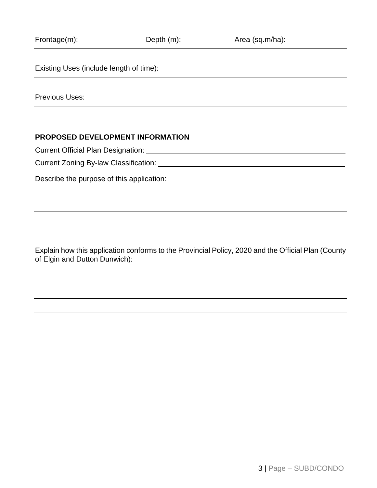Existing Uses (include length of time):

Previous Uses:

### **PROPOSED DEVELOPMENT INFORMATION**

Current Official Plan Designation: University of the University of Current Official Plan Designation:

Current Zoning By-law Classification:

Describe the purpose of this application:

Explain how this application conforms to the Provincial Policy, 2020 and the Official Plan (County of Elgin and Dutton Dunwich):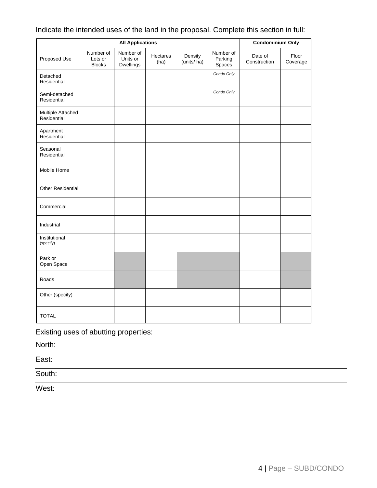| <b>All Applications</b>          |                                       |                                           |                  |                       | <b>Condominium Only</b>        |                         |                   |
|----------------------------------|---------------------------------------|-------------------------------------------|------------------|-----------------------|--------------------------------|-------------------------|-------------------|
| Proposed Use                     | Number of<br>Lots or<br><b>Blocks</b> | Number of<br>Units or<br><b>Dwellings</b> | Hectares<br>(ha) | Density<br>(units/ha) | Number of<br>Parking<br>Spaces | Date of<br>Construction | Floor<br>Coverage |
| Detached<br>Residential          |                                       |                                           |                  |                       | Condo Only                     |                         |                   |
| Semi-detached<br>Residential     |                                       |                                           |                  |                       | Condo Only                     |                         |                   |
| Multiple Attached<br>Residential |                                       |                                           |                  |                       |                                |                         |                   |
| Apartment<br>Residential         |                                       |                                           |                  |                       |                                |                         |                   |
| Seasonal<br>Residential          |                                       |                                           |                  |                       |                                |                         |                   |
| Mobile Home                      |                                       |                                           |                  |                       |                                |                         |                   |
| <b>Other Residential</b>         |                                       |                                           |                  |                       |                                |                         |                   |
| Commercial                       |                                       |                                           |                  |                       |                                |                         |                   |
| Industrial                       |                                       |                                           |                  |                       |                                |                         |                   |
| Institutional<br>(specify)       |                                       |                                           |                  |                       |                                |                         |                   |
| Park or<br>Open Space            |                                       |                                           |                  |                       |                                |                         |                   |
| Roads                            |                                       |                                           |                  |                       |                                |                         |                   |
| Other (specify)                  |                                       |                                           |                  |                       |                                |                         |                   |
| <b>TOTAL</b>                     |                                       |                                           |                  |                       |                                |                         |                   |

## Indicate the intended uses of the land in the proposal. Complete this section in full:

Existing uses of abutting properties:

North:

East:

South:

West: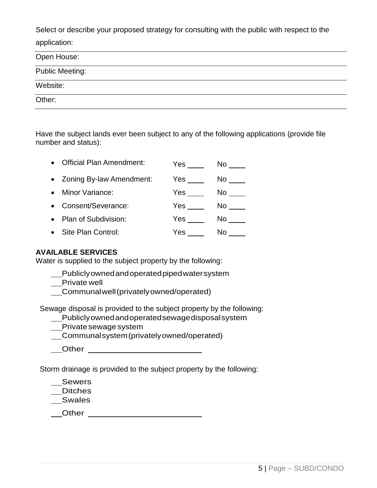Select or describe your proposed strategy for consulting with the public with respect to the application:

| Open House:            |  |  |
|------------------------|--|--|
| <b>Public Meeting:</b> |  |  |
| Website:               |  |  |
| Other:                 |  |  |

Have the subject lands ever been subject to any of the following applications (provide file number and status):

| $\bullet$ | <b>Official Plan Amendment:</b> | Yes | No  |
|-----------|---------------------------------|-----|-----|
|           | • Zoning By-law Amendment:      | Yes | No. |
| $\bullet$ | Minor Variance:                 | Yes | No. |
| $\bullet$ | Consent/Severance:              | Yes | No  |
| $\bullet$ | Plan of Subdivision:            | Yes | No. |
| $\bullet$ | Site Plan Control:              | Yes | No  |

### **AVAILABLE SERVICES**

Water is supplied to the subject property by the following:

- Publiclyownedandoperatedpipedwatersystem
- \_\_Private well
- Communalwell(privatelyowned/operated)

Sewage disposal is provided to the subject property by the following:

- Publiclyownedandoperatedsewagedisposalsystem
- Private sewage system
- Communalsystem(privatelyowned/operated)
- **Other Community Community Community Community Community Community Community**

Storm drainage is provided to the subject property by the following:

\_\_Sewers

Ditches

Swales

Other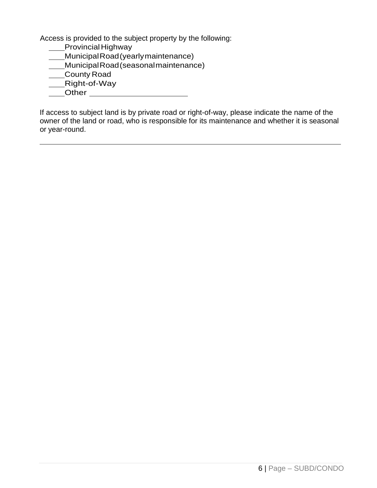Access is provided to the subject property by the following:

**\_\_\_\_Provincial Highway** MunicipalRoad(yearlymaintenance) MunicipalRoad(seasonalmaintenance) County Road Right-of-Way \_\_\_\_Other \_\_\_\_\_\_\_\_\_\_\_\_\_\_\_\_\_\_\_\_\_\_\_

If access to subject land is by private road or right-of-way, please indicate the name of the owner of the land or road, who is responsible for its maintenance and whether it is seasonal or year-round.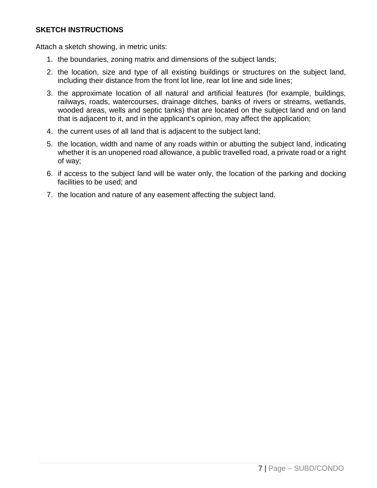### **SKETCH INSTRUCTIONS**

Attach a sketch showing, in metric units:

- 1. the boundaries, zoning matrix and dimensions of the subject lands;
- 2. the location, size and type of all existing buildings or structures on the subject land, including their distance from the front lot line, rear lot line and side lines;
- 3. the approximate location of all natural and artificial features (for example, buildings, railways, roads, watercourses, drainage ditches, banks of rivers or streams, wetlands, wooded areas, wells and septic tanks) that are located on the subject land and on land that is adjacent to it, and in the applicant's opinion, may affect the application;
- 4. the current uses of all land that is adjacent to the subject land;
- 5. the location, width and name of any roads within or abutting the subject land, indicating whether it is an unopened road allowance, a public travelled road, a private road or a right of way;
- 6. if access to the subject land will be water only, the location of the parking and docking facilities to be used; and
- 7. the location and nature of any easement affecting the subject land.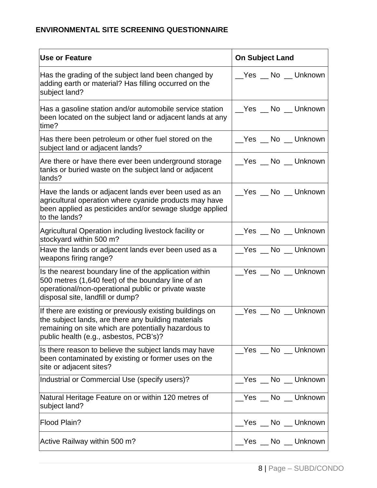# **ENVIRONMENTAL SITE SCREENING QUESTIONNAIRE**

| <b>Use or Feature</b>                                                                                                                                                                                              | <b>On Subject Land</b> |
|--------------------------------------------------------------------------------------------------------------------------------------------------------------------------------------------------------------------|------------------------|
| Has the grading of the subject land been changed by<br>adding earth or material? Has filling occurred on the<br>subject land?                                                                                      | __Yes __ No __ Unknown |
| Has a gasoline station and/or automobile service station<br>been located on the subject land or adjacent lands at any<br>time?                                                                                     | __Yes __ No __ Unknown |
| Has there been petroleum or other fuel stored on the<br>subject land or adjacent lands?                                                                                                                            | __Yes __ No __ Unknown |
| Are there or have there ever been underground storage<br>tanks or buried waste on the subject land or adjacent<br>lands?                                                                                           | __Yes __ No __ Unknown |
| Have the lands or adjacent lands ever been used as an<br>agricultural operation where cyanide products may have<br>been applied as pesticides and/or sewage sludge applied<br>to the lands?                        | Yes No Unknown         |
| Agricultural Operation including livestock facility or<br>stockyard within 500 m?                                                                                                                                  | __Yes __ No __ Unknown |
| Have the lands or adjacent lands ever been used as a<br>weapons firing range?                                                                                                                                      | Yes No Unknown         |
| Is the nearest boundary line of the application within<br>500 metres (1,640 feet) of the boundary line of an<br>operational/non-operational public or private waste<br>disposal site, landfill or dump?            | Yes No Unknown         |
| If there are existing or previously existing buildings on<br>the subject lands, are there any building materials<br>remaining on site which are potentially hazardous to<br>public health (e.g., asbestos, PCB's)? | Yes No Unknown         |
| Is there reason to believe the subject lands may have<br>been contaminated by existing or former uses on the<br>site or adjacent sites?                                                                            | Yes No Unknown         |
| Industrial or Commercial Use (specify users)?                                                                                                                                                                      | Yes No Unknown         |
| Natural Heritage Feature on or within 120 metres of<br>subject land?                                                                                                                                               | __Yes __ No __ Unknown |
| Flood Plain?                                                                                                                                                                                                       | __Yes __ No __ Unknown |
| Active Railway within 500 m?                                                                                                                                                                                       | __Yes __ No __ Unknown |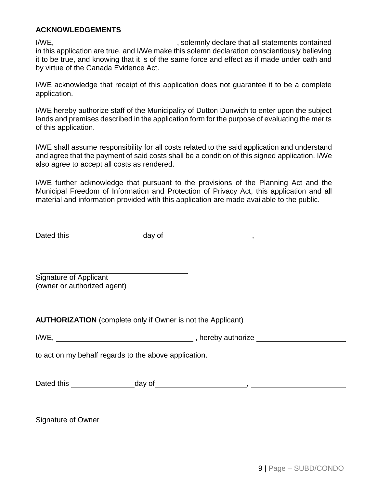### **ACKNOWLEDGEMENTS**

I/WE, I/WE, in this application are true, and I/We make this solemn declaration conscientiously believing it to be true, and knowing that it is of the same force and effect as if made under oath and by virtue of the Canada Evidence Act.

I/WE acknowledge that receipt of this application does not guarantee it to be a complete application.

I/WE hereby authorize staff of the Municipality of Dutton Dunwich to enter upon the subject lands and premises described in the application form for the purpose of evaluating the merits of this application.

I/WE shall assume responsibility for all costs related to the said application and understand and agree that the payment of said costs shall be a condition of this signed application. I/We also agree to accept all costs as rendered.

I/WE further acknowledge that pursuant to the provisions of the Planning Act and the Municipal Freedom of Information and Protection of Privacy Act, this application and all material and information provided with this application are made available to the public.

| Dated this | day of |  |
|------------|--------|--|
|            |        |  |

Signature of Applicant (owner or authorized agent)

**AUTHORIZATION** (complete only if Owner is not the Applicant)

| I/WE, | hereby authorize |
|-------|------------------|
|       |                  |

to act on my behalf regards to the above application.

| Dated this | dav of |  |
|------------|--------|--|
|            |        |  |

Signature of Owner